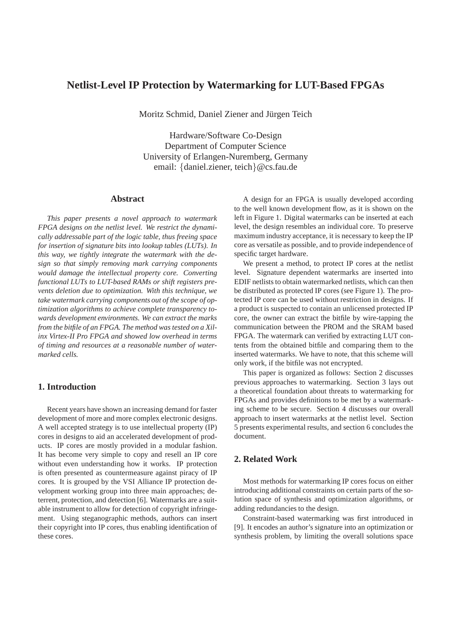# **Netlist-Level IP Protection by Watermarking for LUT-Based FPGAs**

Moritz Schmid, Daniel Ziener and Jürgen Teich

Hardware/Software Co-Design Department of Computer Science University of Erlangen-Nuremberg, Germany email: {daniel.ziener, teich}@cs.fau.de

### **Abstract**

*This paper presents a novel approach to watermark FPGA designs on the netlist level. We restrict the dynamically addressable part of the logic table, thus freeing space for insertion of signature bits into lookup tables (LUTs). In this way, we tightly integrate the watermark with the design so that simply removing mark carrying components would damage the intellectual property core. Converting functional LUTs to LUT-based RAMs or shift registers prevents deletion due to optimization. With this technique, we take watermark carrying components out of the scope of optimization algorithms to achieve complete transparency towards development environments. We can extract the marks from the bitfile of an FPGA. The method was tested on a Xilinx Virtex-II Pro FPGA and showed low overhead in terms of timing and resources at a reasonable number of watermarked cells.*

## **1. Introduction**

Recent years have shown an increasing demand for faster development of more and more complex electronic designs. A well accepted strategy is to use intellectual property (IP) cores in designs to aid an accelerated development of products. IP cores are mostly provided in a modular fashion. It has become very simple to copy and resell an IP core without even understanding how it works. IP protection is often presented as countermeasure against piracy of IP cores. It is grouped by the VSI Alliance IP protection development working group into three main approaches; deterrent, protection, and detection [6]. Watermarks are a suitable instrument to allow for detection of copyright infringement. Using steganographic methods, authors can insert their copyright into IP cores, thus enabling identification of these cores.

A design for an FPGA is usually developed according to the well known development flow, as it is shown on the left in Figure 1. Digital watermarks can be inserted at each level, the design resembles an individual core. To preserve maximum industry acceptance, it is necessary to keep the IP core as versatile as possible, and to provide independence of specific target hardware.

We present a method, to protect IP cores at the netlist level. Signature dependent watermarks are inserted into EDIF netlists to obtain watermarked netlists, which can then be distributed as protected IP cores (see Figure 1). The protected IP core can be used without restriction in designs. If a product is suspected to contain an unlicensed protected IP core, the owner can extract the bitfile by wire-tapping the communication between the PROM and the SRAM based FPGA. The watermark can verified by extracting LUT contents from the obtained bitfile and comparing them to the inserted watermarks. We have to note, that this scheme will only work, if the bitfile was not encrypted.

This paper is organized as follows: Section 2 discusses previous approaches to watermarking. Section 3 lays out a theoretical foundation about threats to watermarking for FPGAs and provides definitions to be met by a watermarking scheme to be secure. Section 4 discusses our overall approach to insert watermarks at the netlist level. Section 5 presents experimental results, and section 6 concludes the document.

### **2. Related Work**

Most methods for watermarking IP cores focus on either introducing additional constraints on certain parts of the solution space of synthesis and optimization algorithms, or adding redundancies to the design.

Constraint-based watermarking was first introduced in [9]. It encodes an author's signature into an optimization or synthesis problem, by limiting the overall solutions space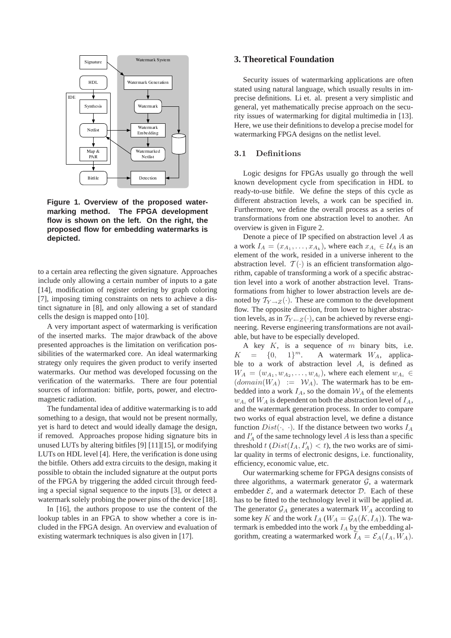

**Figure 1. Overview of the proposed watermarking method. The FPGA development flow is shown on the left. On the right, the proposed flow for embedding watermarks is depicted.**

to a certain area reflecting the given signature. Approaches include only allowing a certain number of inputs to a gate [14], modification of register ordering by graph coloring [7], imposing timing constraints on nets to achieve a distinct signature in [8], and only allowing a set of standard cells the design is mapped onto [10].

A very important aspect of watermarking is verification of the inserted marks. The major drawback of the above presented approaches is the limitation on verification possibilities of the watermarked core. An ideal watermarking strategy only requires the given product to verify inserted watermarks. Our method was developed focussing on the verification of the watermarks. There are four potential sources of information: bitfile, ports, power, and electromagnetic radiation.

The fundamental idea of additive watermarking is to add something to a design, that would not be present normally, yet is hard to detect and would ideally damage the design, if removed. Approaches propose hiding signature bits in unused LUTs by altering bitfiles [9] [11][15], or modifying LUTs on HDL level [4]. Here, the verification is done using the bitfile. Others add extra circuits to the design, making it possible to obtain the included signature at the output ports of the FPGA by triggering the added circuit through feeding a special signal sequence to the inputs [3], or detect a watermark solely probing the power pins of the device [18].

In [16], the authors propose to use the content of the lookup tables in an FPGA to show whether a core is included in the FPGA design. An overview and evaluation of existing watermark techniques is also given in [17].

#### **3. Theoretical Foundation**

Security issues of watermarking applications are often stated using natural language, which usually results in imprecise definitions. Li et. al. present a very simplistic and general, yet mathematically precise approach on the security issues of watermarking for digital multimedia in [13]. Here, we use their definitions to develop a precise model for watermarking FPGA designs on the netlist level.

#### 3.1 Definitions

Logic designs for FPGAs usually go through the well known development cycle from specification in HDL to ready-to-use bitfile. We define the steps of this cycle as different abstraction levels, a work can be specified in. Furthermore, we define the overall process as a series of transformations from one abstraction level to another. An overview is given in Figure 2.

Denote a piece of IP specified on abstraction level A as a work  $I_A = (x_{A_1}, \dots, x_{A_k})$ , where each  $x_{A_i} \in \mathcal{U}_A$  is an element of the work, resided in a universe inherent to the abstraction level.  $\mathcal{T}(\cdot)$  is an efficient transformation algorithm, capable of transforming a work of a specific abstraction level into a work of another abstraction level. Transformations from higher to lower abstraction levels are denoted by  $T_{Y\to Z}(\cdot)$ . These are common to the development flow. The opposite direction, from lower to higher abstraction levels, as in  $T_{Y \leftarrow Z}(\cdot)$ , can be achieved by reverse engineering. Reverse engineering transformations are not available, but have to be especially developed.

A key  $K$ , is a sequence of  $m$  binary bits, i.e.  $K = \{0, 1\}^m$ . A watermark  $W_A$ , applicable to a work of abstraction level  $A$ , is defined as  $W_A = (w_{A_1}, w_{A_2}, \dots, w_{A_l})$ , where each element  $w_{A_i} \in$  $(domain(W_A) := W_A)$ . The watermark has to be embedded into a work  $I_A$ , so the domain  $\mathcal{W}_A$  of the elements  $w_{A_i}$  of  $W_A$  is dependent on both the abstraction level of  $I_A$ , and the watermark generation process. In order to compare two works of equal abstraction level, we define a distance function  $Dist(\cdot, \cdot)$ . If the distance between two works  $I_A$ and  $I'_{A}$  of the same technology level A is less than a specific threshold t  $(Dist(I_A, I'_A) < t)$ , the two works are of similar quality in terms of electronic designs, i.e. functionality, efficiency, economic value, etc.

Our watermarking scheme for FPGA designs consists of three algorithms, a watermark generator  $G$ , a watermark embedder  $\mathcal{E}$ , and a watermark detector  $\mathcal{D}$ . Each of these has to be fitted to the technology level it will be applied at. The generator  $\mathcal{G}_A$  generates a watermark  $W_A$  according to some key K and the work  $I_A$  ( $W_A = \mathcal{G}_A(K, I_A)$ ). The watermark is embedded into the work  $I_A$  by the embedding algorithm, creating a watermarked work  $I_A = \mathcal{E}_A(I_A, W_A)$ .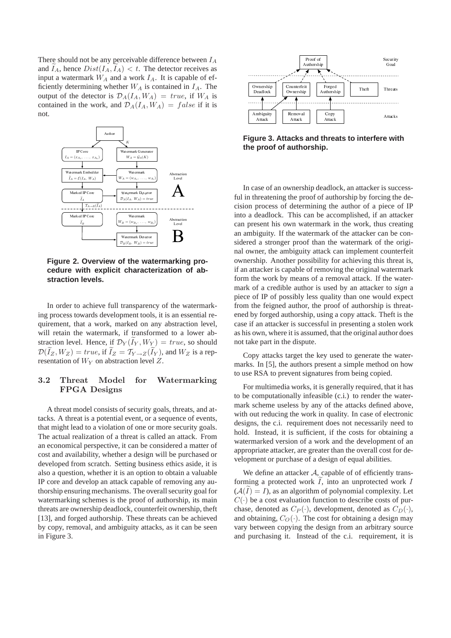There should not be any perceivable difference between  $I_A$ and  $I_A$ , hence  $Dist(I_A, I_A) < t$ . The detector receives as input a watermark  $W_A$  and a work  $I_A$ . It is capable of efficiently determining whether  $W_A$  is contained in  $I_A$ . The output of the detector is  $\mathcal{D}_A(I_A, W_A) = true$ , if  $W_A$  is contained in the work, and  $\mathcal{D}_A(I_A, W_A) = false$  if it is not.



**Figure 2. Overview of the watermarking procedure with explicit characterization of abstraction levels.**

In order to achieve full transparency of the watermarking process towards development tools, it is an essential requirement, that a work, marked on any abstraction level, will retain the watermark, if transformed to a lower abstraction level. Hence, if  $\mathcal{D}_Y(I_Y, W_Y) = true$ , so should  $\mathcal{D}(\widetilde{I}_Z, W_Z) = \text{true}$ , if  $\widetilde{I}_Z = \mathcal{T}_{Y \to Z}(\widetilde{I}_Y)$ , and  $W_Z$  is a representation of  $W_Y$  on abstraction level Z.

### 3.2 Threat Model for Watermarking FPGA Designs

A threat model consists of security goals, threats, and attacks. A threat is a potential event, or a sequence of events, that might lead to a violation of one or more security goals. The actual realization of a threat is called an attack. From an economical perspective, it can be considered a matter of cost and availability, whether a design will be purchased or developed from scratch. Setting business ethics aside, it is also a question, whether it is an option to obtain a valuable IP core and develop an attack capable of removing any authorship ensuring mechanisms. The overall security goal for watermarking schemes is the proof of authorship, its main threats are ownership deadlock, counterfeit ownership, theft [13], and forged authorship. These threats can be achieved by copy, removal, and ambiguity attacks, as it can be seen in Figure 3.



**Figure 3. Attacks and threats to interfere with the proof of authorship.**

In case of an ownership deadlock, an attacker is successful in threatening the proof of authorship by forcing the decision process of determining the author of a piece of IP into a deadlock. This can be accomplished, if an attacker can present his own watermark in the work, thus creating an ambiguity. If the watermark of the attacker can be considered a stronger proof than the watermark of the original owner, the ambiguity attack can implement counterfeit ownership. Another possibility for achieving this threat is, if an attacker is capable of removing the original watermark form the work by means of a removal attack. If the watermark of a credible author is used by an attacker to *sign* a piece of IP of possibly less quality than one would expect from the feigned author, the proof of authorship is threatened by forged authorship, using a copy attack. Theft is the case if an attacker is successful in presenting a stolen work as his own, where it is assumed, that the original author does not take part in the dispute.

Copy attacks target the key used to generate the watermarks. In [5], the authors present a simple method on how to use RSA to prevent signatures from being copied.

For multimedia works, it is generally required, that it has to be computationally infeasible (c.i.) to render the watermark scheme useless by any of the attacks defined above, with out reducing the work in quality. In case of electronic designs, the c.i. requirement does not necessarily need to hold. Instead, it is sufficient, if the costs for obtaining a watermarked version of a work and the development of an appropriate attacker, are greater than the overall cost for development or purchase of a design of equal abilities.

We define an attacker  $A$ , capable of of efficiently transforming a protected work  $I$ , into an unprotected work  $I$  $(A(I) = I)$ , as an algorithm of polynomial complexity. Let  $C(\cdot)$  be a cost evaluation function to describe costs of purchase, denoted as  $C_P(\cdot)$ , development, denoted as  $C_D(\cdot)$ , and obtaining,  $C_O(\cdot)$ . The cost for obtaining a design may vary between copying the design from an arbitrary source and purchasing it. Instead of the c.i. requirement, it is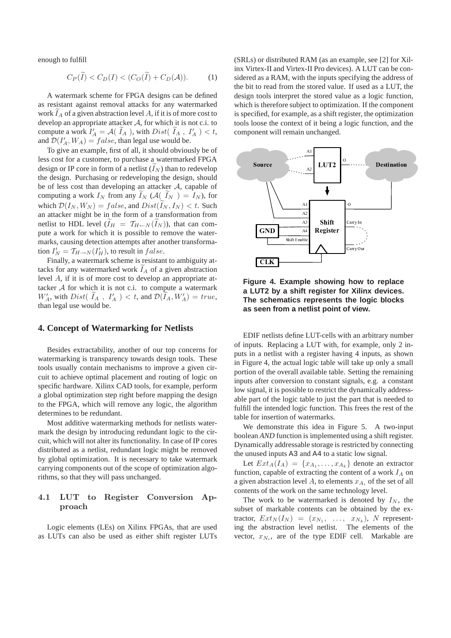enough to fulfill

$$
C_P(\widetilde{I}) < C_D(I) < (C_O(\widetilde{I}) + C_D(\mathcal{A})).\tag{1}
$$

A watermark scheme for FPGA designs can be defined as resistant against removal attacks for any watermarked work  $I_A$  of a given abstraction level A, if it is of more cost to develop an appropriate attacker  $A$ , for which it is not c.i. to compute a work  $I'_A = A(\tilde{I}_A)$ , with  $Dist(\tilde{I}_A, I'_A) < t$ , and  $\mathcal{D}(I'_A, W_A) = false$ , than legal use would be.

To give an example, first of all, it should obviously be of less cost for a customer, to purchase a watermarked FPGA design or IP core in form of a netlist  $(I_N)$  than to redevelop the design. Purchasing or redeveloping the design, should be of less cost than developing an attacker  $A$ , capable of computing a work  $I_N$  from any  $I_N$  ( $\mathcal{A}(\tilde{I}_N) = I_N$ ), for which  $\mathcal{D}(I_N, W_N) = false$ , and  $Dist(\widetilde{I}_N, I_N) < t$ . Such an attacker might be in the form of a transformation from netlist to HDL level  $(I_H = T_{H \leftarrow N}(I_N))$ , that can compute a work for which it is possible to remove the watermarks, causing detection attempts after another transformation  $I'_N = \mathcal{T}_{H\to N}(I'_H)$ , to result in  $false$ .

Finally, a watermark scheme is resistant to ambiguity attacks for any watermarked work  $I_A$  of a given abstraction level A, if it is of more cost to develop an appropriate attacker A for which it is not c.i. to compute a watermark  $W'_A$ , with  $Dist(\tilde{I}_A, I'_A) < t$ , and  $\mathcal{D}(I_A, W'_A) = true$ , than legal use would be.

## **4. Concept of Watermarking for Netlists**

Besides extractability, another of our top concerns for watermarking is transparency towards design tools. These tools usually contain mechanisms to improve a given circuit to achieve optimal placement and routing of logic on specific hardware. Xilinx CAD tools, for example, perform a global optimization step right before mapping the design to the FPGA, which will remove any logic, the algorithm determines to be redundant.

Most additive watermarking methods for netlists watermark the design by introducing redundant logic to the circuit, which will not alter its functionality. In case of IP cores distributed as a netlist, redundant logic might be removed by global optimization. It is necessary to take watermark carrying components out of the scope of optimization algorithms, so that they will pass unchanged.

### 4.1 LUT to Register Conversion Approach

Logic elements (LEs) on Xilinx FPGAs, that are used as LUTs can also be used as either shift register LUTs

(SRLs) or distributed RAM (as an example, see [2] for Xilinx Virtex-II and Virtex-II Pro devices). A LUT can be considered as a RAM, with the inputs specifying the address of the bit to read from the stored value. If used as a LUT, the design tools interpret the stored value as a logic function, which is therefore subject to optimization. If the component is specified, for example, as a shift register, the optimization tools loose the context of it being a logic function, and the component will remain unchanged.



**Figure 4. Example showing how to replace a LUT2 by a shift register for Xilinx devices. The schematics represents the logic blocks as seen from a netlist point of view.**

EDIF netlists define LUT-cells with an arbitrary number of inputs. Replacing a LUT with, for example, only 2 inputs in a netlist with a register having 4 inputs, as shown in Figure 4, the actual logic table will take up only a small portion of the overall available table. Setting the remaining inputs after conversion to constant signals, e.g. a constant low signal, it is possible to restrict the dynamically addressable part of the logic table to just the part that is needed to fulfill the intended logic function. This frees the rest of the table for insertion of watermarks.

We demonstrate this idea in Figure 5. A two-input boolean *AND* function is implemented using a shift register. Dynamically addressable storage is restricted by connecting the unused inputs A3 and A4 to a static low signal.

Let  $Ext_A(I_A) = \{x_{A_1}, \ldots, x_{A_k}\}\$  denote an extractor function, capable of extracting the content of a work  $I_A$  on a given abstraction level A, to elements  $x_{A_i}$  of the set of all contents of the work on the same technology level.

The work to be watermarked is denoted by  $I_N$ , the subset of markable contents can be obtained by the extractor,  $Ext_N(I_N) = (x_{N_1}, \ldots, x_{N_k}), N$  representing the abstraction level netlist. The elements of the vector,  $x_{N_i}$ , are of the type EDIF cell. Markable are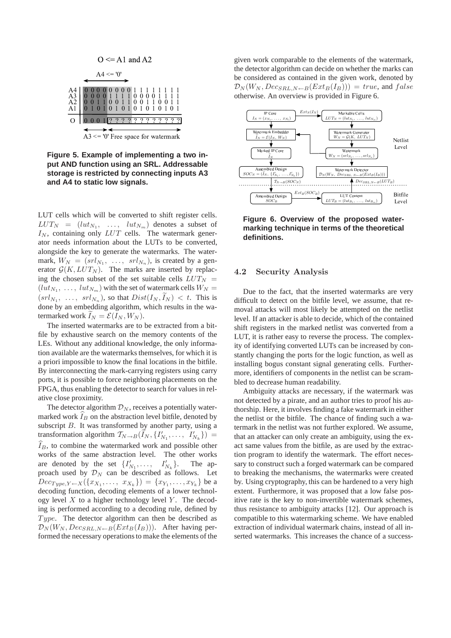

**Figure 5. Example of implementing a two input AND function using an SRL. Addressable storage is restricted by connecting inputs A3 and A4 to static low signals.**

LUT cells which will be converted to shift register cells.  $LUT_N = (lut_{N_1}, \ldots, \, lut_{N_m})$  denotes a subset of  $I_N$ , containing only  $LUT$  cells. The watermark generator needs information about the LUTs to be converted, alongside the key to generate the watermarks. The watermark,  $W_N = (srl_{N_1}, \ldots, srl_{N_n})$ , is created by a generator  $G(K, LUT_N)$ . The marks are inserted by replacing the chosen subset of the set suitable cells  $LUT_N$  =  $(lut_{N_1}, \ldots, lut_{N_m})$  with the set of watermark cells  $W_N =$  $(sr_1, \ldots, srl_{N_n}),$  so that  $Dist(I_N, \widetilde{I}_N) < t$ . This is done by an embedding algorithm, which results in the watermarked work  $I_N = \mathcal{E}(I_N, W_N)$ .

The inserted watermarks are to be extracted from a bitfile by exhaustive search on the memory contents of the LEs. Without any additional knowledge, the only information available are the watermarks themselves, for which it is a priori impossible to know the final locations in the bitfile. By interconnecting the mark-carrying registers using carry ports, it is possible to force neighboring placements on the FPGA, thus enabling the detector to search for values in relative close proximity.

The detector algorithm  $\mathcal{D}_N$ , receives a potentially watermarked work  $I_B$  on the abstraction level bitfile, denoted by subscript B. It was transformed by another party, using a transformation algorithm  $T_{N\rightarrow B}(\tilde{I}_N, \{I'_{N_1}, \ldots, I'_{N_k}\})$  =  $\widehat{I}_B$ , to combine the watermarked work and possible other works of the same abstraction level. The other works are denoted by the set  $\{I'_{N_1}, \ldots, I'_{N_k}\}$ The approach used by  $\mathcal{D}_N$  can be described as follows. Let  $Dec_{Type, Y \leftarrow X}(\lbrace x_{X_1}, \ldots, x_{X_k} \rbrace) = \lbrace x_{Y_1}, \ldots, x_{Y_k} \rbrace$  be a decoding function, decoding elements of a lower technology level  $X$  to a higher technology level  $Y$ . The decoding is performed according to a decoding rule, defined by Type. The detector algorithm can then be described as  $\mathcal{D}_N(W_N, Dec_{SRL,N \leftarrow B}(Ext_B(I_B)))$ . After having performed the necessary operations to make the elements of the given work comparable to the elements of the watermark, the detector algorithm can decide on whether the marks can be considered as contained in the given work, denoted by  $\mathcal{D}_N(W_N, Dec_{SRL,N \leftarrow B}(Ext_B(I_B))) = true$ , and false otherwise. An overview is provided in Figure 6.



**Figure 6. Overview of the proposed watermarking technique in terms of the theoretical definitions.**

#### 4.2 Security Analysis

Due to the fact, that the inserted watermarks are very difficult to detect on the bitfile level, we assume, that removal attacks will most likely be attempted on the netlist level. If an attacker is able to decide, which of the contained shift registers in the marked netlist was converted from a LUT, it is rather easy to reverse the process. The complexity of identifying converted LUTs can be increased by constantly changing the ports for the logic function, as well as installing bogus constant signal generating cells. Furthermore, identifiers of components in the netlist can be scrambled to decrease human readability.

Ambiguity attacks are necessary, if the watermark was not detected by a pirate, and an author tries to proof his authorship. Here, it involves finding a fake watermark in either the netlist or the bitfile. The chance of finding such a watermark in the netlist was not further explored. We assume, that an attacker can only create an ambiguity, using the exact same values from the bitfile, as are used by the extraction program to identify the watermark. The effort necessary to construct such a forged watermark can be compared to breaking the mechanisms, the watermarks were created by. Using cryptography, this can be hardened to a very high extent. Furthermore, it was proposed that a low false positive rate is the key to non-invertible watermark schemes, thus resistance to ambiguity attacks [12]. Our approach is compatible to this watermarking scheme. We have enabled extraction of individual watermark chains, instead of all inserted watermarks. This increases the chance of a success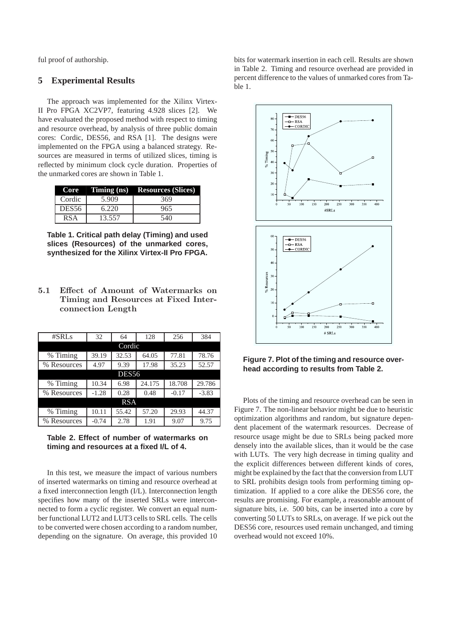ful proof of authorship.

#### **5 Experimental Results**

The approach was implemented for the Xilinx Virtex-II Pro FPGA XC2VP7, featuring 4.928 slices [2]. We have evaluated the proposed method with respect to timing and resource overhead, by analysis of three public domain cores: Cordic, DES56, and RSA [1]. The designs were implemented on the FPGA using a balanced strategy. Resources are measured in terms of utilized slices, timing is reflected by minimum clock cycle duration. Properties of the unmarked cores are shown in Table 1.

|                   |        | $Core$ Timing (ns) Resources (Slices) |
|-------------------|--------|---------------------------------------|
| Cordic            | 5.909  | 369                                   |
| DES <sub>56</sub> | 6.220  | 965                                   |
| RSA               | 13.557 | 540                                   |

**Table 1. Critical path delay (Timing) and used slices (Resources) of the unmarked cores, synthesized for the Xilinx Virtex-II Pro FPGA.**

5.1 Effect of Amount of Watermarks on Timing and Resources at Fixed Interconnection Length

| #SRLs        | 32      | 128<br>64 |        | 256     | 384     |  |  |  |
|--------------|---------|-----------|--------|---------|---------|--|--|--|
| Cordic       |         |           |        |         |         |  |  |  |
| % Timing     | 39.19   | 32.53     | 64.05  | 77.81   | 78.76   |  |  |  |
| % Resources  | 4.97    | 9.39      | 17.98  | 35.23   | 52.57   |  |  |  |
| <b>DES56</b> |         |           |        |         |         |  |  |  |
| % Timing     | 10.34   | 6.98      | 24.175 | 18.708  | 29.786  |  |  |  |
| % Resources  | $-1.28$ | 0.28      | 0.48   | $-0.17$ | $-3.83$ |  |  |  |
| <b>RSA</b>   |         |           |        |         |         |  |  |  |
| % Timing     | 10.11   | 55.42     | 57.20  | 29.93   | 44.37   |  |  |  |
| % Resources  | $-0.74$ | 2.78      | 1.91   | 9.07    | 9.75    |  |  |  |



In this test, we measure the impact of various numbers of inserted watermarks on timing and resource overhead at a fixed interconnection length (I/L). Interconnection length specifies how many of the inserted SRLs were interconnected to form a cyclic register. We convert an equal number functional LUT2 and LUT3 cells to SRL cells. The cells to be converted were chosen according to a random number, depending on the signature. On average, this provided 10 bits for watermark insertion in each cell. Results are shown in Table 2. Timing and resource overhead are provided in percent difference to the values of unmarked cores from Table 1.



**Figure 7. Plot of the timing and resource overhead according to results from Table 2.**

Plots of the timing and resource overhead can be seen in Figure 7. The non-linear behavior might be due to heuristic optimization algorithms and random, but signature dependent placement of the watermark resources. Decrease of resource usage might be due to SRLs being packed more densely into the available slices, than it would be the case with LUTs. The very high decrease in timing quality and the explicit differences between different kinds of cores, might be explained by the fact that the conversion from LUT to SRL prohibits design tools from performing timing optimization. If applied to a core alike the DES56 core, the results are promising. For example, a reasonable amount of signature bits, i.e. 500 bits, can be inserted into a core by converting 50 LUTs to SRLs, on average. If we pick out the DES56 core, resources used remain unchanged, and timing overhead would not exceed 10%.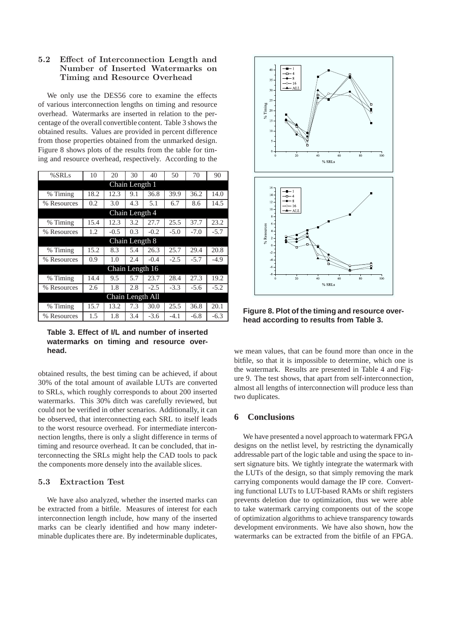## 5.2 Effect of Interconnection Length and Number of Inserted Watermarks on Timing and Resource Overhead

We only use the DES56 core to examine the effects of various interconnection lengths on timing and resource overhead. Watermarks are inserted in relation to the percentage of the overall convertible content. Table 3 shows the obtained results. Values are provided in percent difference from those properties obtained from the unmarked design. Figure 8 shows plots of the results from the table for timing and resource overhead, respectively. According to the

| %SRLs            | 10   | 20     | 30  | 40     | 50     | 70     | 90     |  |  |
|------------------|------|--------|-----|--------|--------|--------|--------|--|--|
| Chain Length 1   |      |        |     |        |        |        |        |  |  |
| % Timing         | 18.2 | 12.3   | 9.1 | 36.8   | 39.9   | 36.2   | 14.0   |  |  |
| % Resources      | 0.2  | 3.0    | 4.3 | 5.1    | 6.7    | 8.6    | 14.5   |  |  |
| Chain Length 4   |      |        |     |        |        |        |        |  |  |
| % Timing         | 15.4 | 12.3   | 3.2 | 27.7   | 25.5   | 37.7   | 23.2   |  |  |
| % Resources      | 1.2  | $-0.5$ | 0.3 | $-0.2$ | $-5.0$ | $-7.0$ | $-5.7$ |  |  |
| Chain Length 8   |      |        |     |        |        |        |        |  |  |
| % Timing         | 15.2 | 8.3    | 5.4 | 26.3   | 25.7   | 29.4   | 20.8   |  |  |
| % Resources      | 0.9  | 1.0    | 2.4 | $-0.4$ | $-2.5$ | $-5.7$ | $-4.9$ |  |  |
| Chain Length 16  |      |        |     |        |        |        |        |  |  |
| % Timing         | 14.4 | 9.5    | 5.7 | 23.7   | 28.4   | 27.3   | 19.2   |  |  |
| % Resources      | 2.6  | 1.8    | 2.8 | $-2.5$ | $-3.3$ | $-5.6$ | $-5.2$ |  |  |
| Chain Length All |      |        |     |        |        |        |        |  |  |
| % Timing         | 15.7 | 13.2   | 7.3 | 30.0   | 25.5   | 36.8   | 20.1   |  |  |
| % Resources      | 1.5  | 1.8    | 3.4 | $-3.6$ | $-4.1$ | $-6.8$ | $-6.3$ |  |  |

**Table 3. Effect of I/L and number of inserted watermarks on timing and resource overhead.**

obtained results, the best timing can be achieved, if about 30% of the total amount of available LUTs are converted to SRLs, which roughly corresponds to about 200 inserted watermarks. This 30% ditch was carefully reviewed, but could not be verified in other scenarios. Additionally, it can be observed, that interconnecting each SRL to itself leads to the worst resource overhead. For intermediate interconnection lengths, there is only a slight difference in terms of timing and resource overhead. It can be concluded, that interconnecting the SRLs might help the CAD tools to pack the components more densely into the available slices.

### 5.3 Extraction Test

We have also analyzed, whether the inserted marks can be extracted from a bitfile. Measures of interest for each interconnection length include, how many of the inserted marks can be clearly identified and how many indeterminable duplicates there are. By indeterminable duplicates,



**Figure 8. Plot of the timing and resource overhead according to results from Table 3.**

we mean values, that can be found more than once in the bitfile, so that it is impossible to determine, which one is the watermark. Results are presented in Table 4 and Figure 9. The test shows, that apart from self-interconnection, almost all lengths of interconnection will produce less than two duplicates.

## **6 Conclusions**

We have presented a novel approach to watermark FPGA designs on the netlist level, by restricting the dynamically addressable part of the logic table and using the space to insert signature bits. We tightly integrate the watermark with the LUTs of the design, so that simply removing the mark carrying components would damage the IP core. Converting functional LUTs to LUT-based RAMs or shift registers prevents deletion due to optimization, thus we were able to take watermark carrying components out of the scope of optimization algorithms to achieve transparency towards development environments. We have also shown, how the watermarks can be extracted from the bitfile of an FPGA.